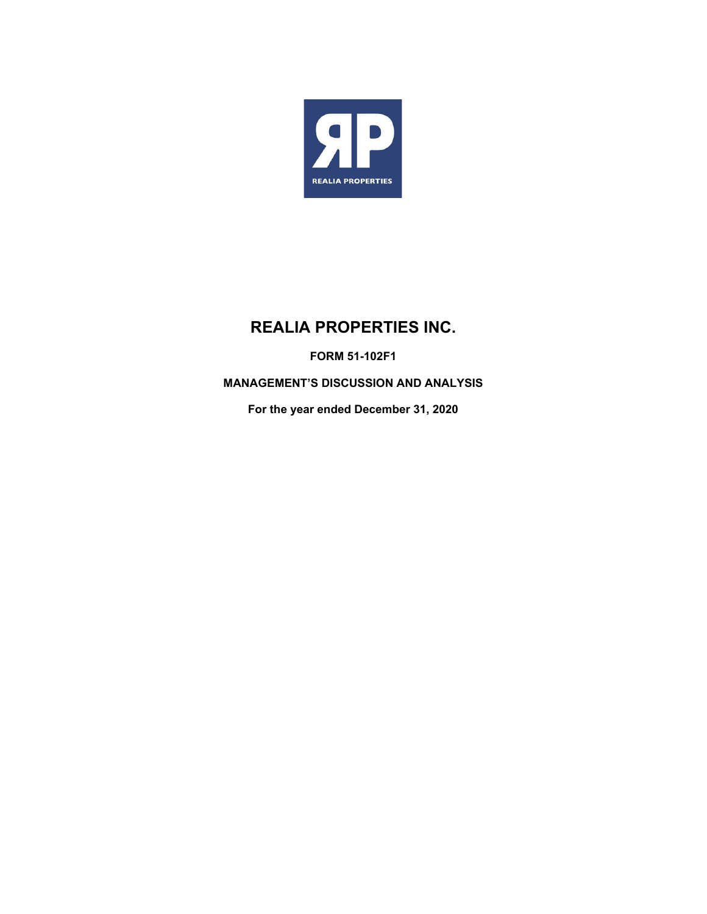

# **REALIA PROPERTIES INC.**

**FORM 51-102F1** 

**MANAGEMENT'S DISCUSSION AND ANALYSIS** 

**For the year ended December 31, 2020**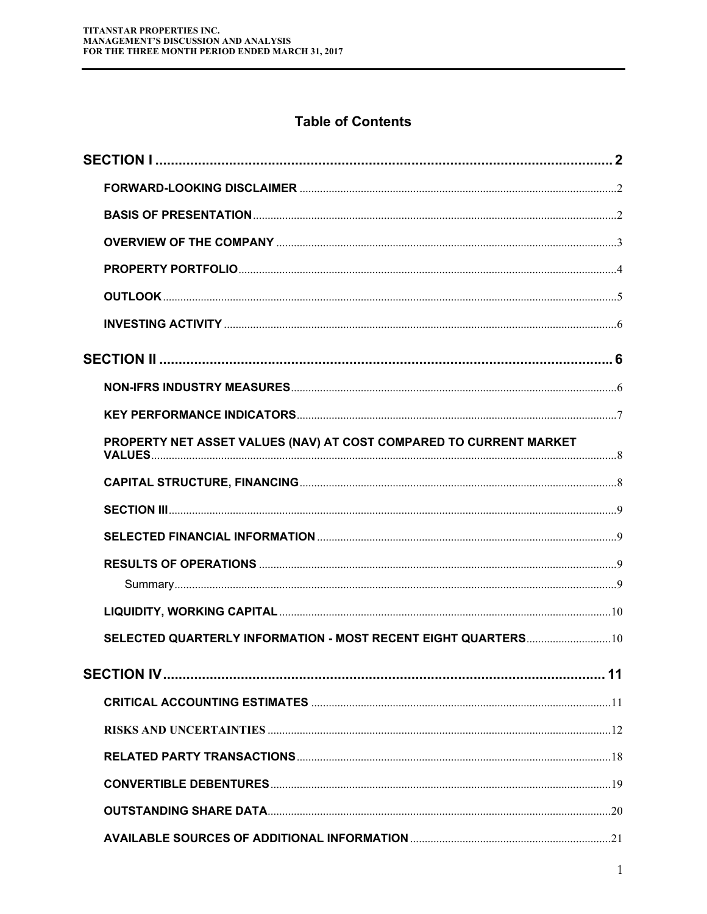# **Table of Contents**

| PROPERTY NET ASSET VALUES (NAV) AT COST COMPARED TO CURRENT MARKET |  |
|--------------------------------------------------------------------|--|
|                                                                    |  |
|                                                                    |  |
|                                                                    |  |
|                                                                    |  |
|                                                                    |  |
|                                                                    |  |
| SELECTED QUARTERLY INFORMATION - MOST RECENT EIGHT QUARTERS 10     |  |
|                                                                    |  |
|                                                                    |  |
|                                                                    |  |
|                                                                    |  |
|                                                                    |  |
|                                                                    |  |
|                                                                    |  |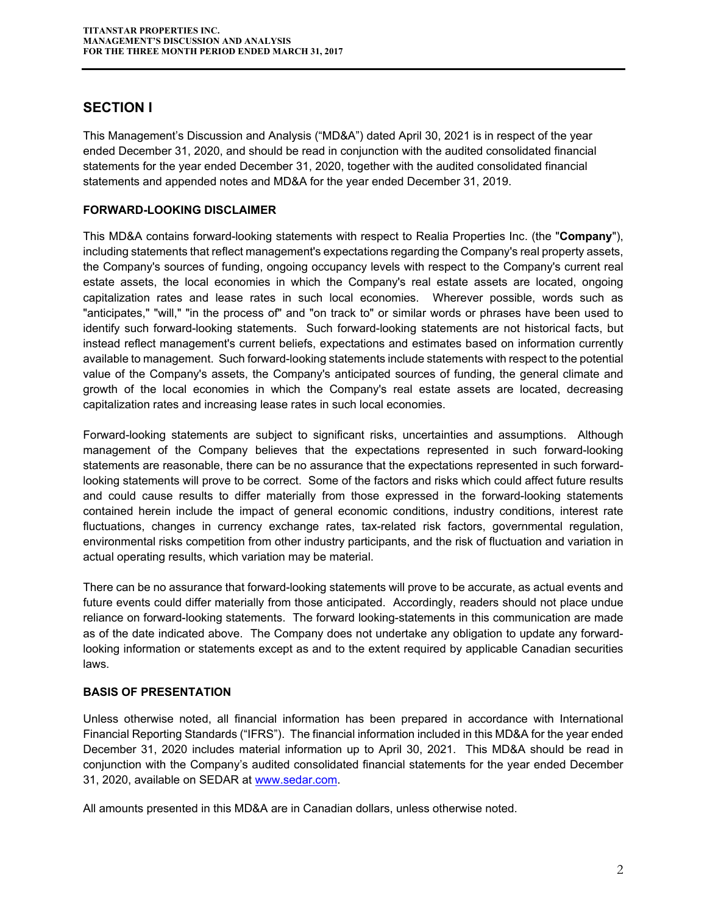# **SECTION I**

This Management's Discussion and Analysis ("MD&A") dated April 30, 2021 is in respect of the year ended December 31, 2020, and should be read in conjunction with the audited consolidated financial statements for the year ended December 31, 2020, together with the audited consolidated financial statements and appended notes and MD&A for the year ended December 31, 2019.

## **FORWARD-LOOKING DISCLAIMER**

This MD&A contains forward-looking statements with respect to Realia Properties Inc. (the "**Company**"), including statements that reflect management's expectations regarding the Company's real property assets, the Company's sources of funding, ongoing occupancy levels with respect to the Company's current real estate assets, the local economies in which the Company's real estate assets are located, ongoing capitalization rates and lease rates in such local economies. Wherever possible, words such as "anticipates," "will," "in the process of" and "on track to" or similar words or phrases have been used to identify such forward-looking statements. Such forward-looking statements are not historical facts, but instead reflect management's current beliefs, expectations and estimates based on information currently available to management. Such forward-looking statements include statements with respect to the potential value of the Company's assets, the Company's anticipated sources of funding, the general climate and growth of the local economies in which the Company's real estate assets are located, decreasing capitalization rates and increasing lease rates in such local economies.

Forward-looking statements are subject to significant risks, uncertainties and assumptions. Although management of the Company believes that the expectations represented in such forward-looking statements are reasonable, there can be no assurance that the expectations represented in such forwardlooking statements will prove to be correct. Some of the factors and risks which could affect future results and could cause results to differ materially from those expressed in the forward-looking statements contained herein include the impact of general economic conditions, industry conditions, interest rate fluctuations, changes in currency exchange rates, tax-related risk factors, governmental regulation, environmental risks competition from other industry participants, and the risk of fluctuation and variation in actual operating results, which variation may be material.

There can be no assurance that forward-looking statements will prove to be accurate, as actual events and future events could differ materially from those anticipated. Accordingly, readers should not place undue reliance on forward-looking statements. The forward looking-statements in this communication are made as of the date indicated above. The Company does not undertake any obligation to update any forwardlooking information or statements except as and to the extent required by applicable Canadian securities laws.

## **BASIS OF PRESENTATION**

Unless otherwise noted, all financial information has been prepared in accordance with International Financial Reporting Standards ("IFRS"). The financial information included in this MD&A for the year ended December 31, 2020 includes material information up to April 30, 2021. This MD&A should be read in conjunction with the Company's audited consolidated financial statements for the year ended December 31, 2020, available on SEDAR at www.sedar.com.

All amounts presented in this MD&A are in Canadian dollars, unless otherwise noted.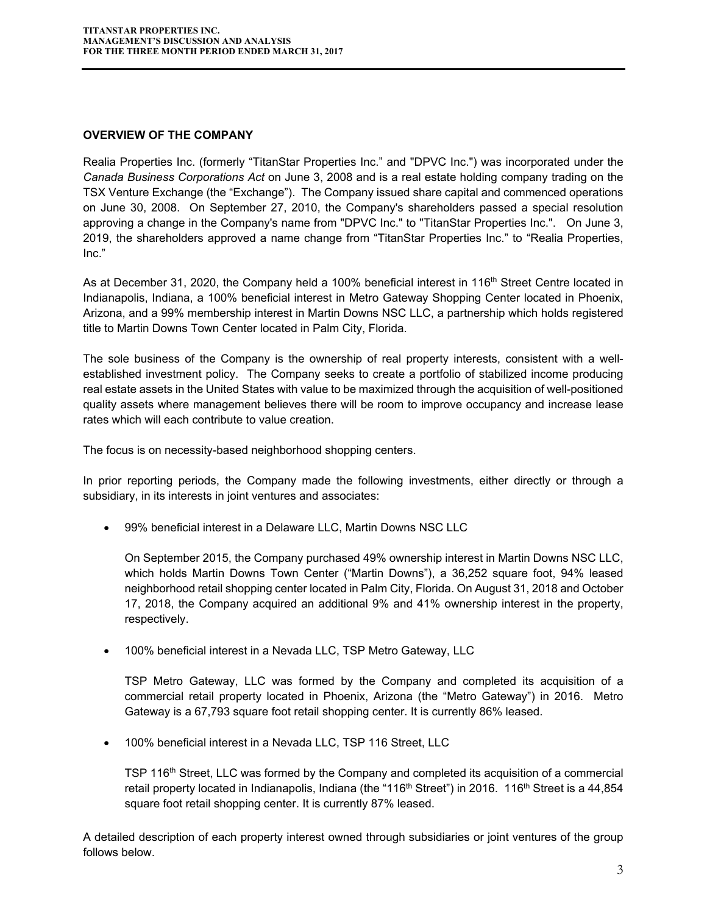#### **OVERVIEW OF THE COMPANY**

Realia Properties Inc. (formerly "TitanStar Properties Inc." and "DPVC Inc.") was incorporated under the *Canada Business Corporations Act* on June 3, 2008 and is a real estate holding company trading on the TSX Venture Exchange (the "Exchange"). The Company issued share capital and commenced operations on June 30, 2008. On September 27, 2010, the Company's shareholders passed a special resolution approving a change in the Company's name from "DPVC Inc." to "TitanStar Properties Inc.". On June 3, 2019, the shareholders approved a name change from "TitanStar Properties Inc." to "Realia Properties, Inc."

As at December 31, 2020, the Company held a 100% beneficial interest in 116<sup>th</sup> Street Centre located in Indianapolis, Indiana, a 100% beneficial interest in Metro Gateway Shopping Center located in Phoenix, Arizona, and a 99% membership interest in Martin Downs NSC LLC, a partnership which holds registered title to Martin Downs Town Center located in Palm City, Florida.

The sole business of the Company is the ownership of real property interests, consistent with a wellestablished investment policy. The Company seeks to create a portfolio of stabilized income producing real estate assets in the United States with value to be maximized through the acquisition of well-positioned quality assets where management believes there will be room to improve occupancy and increase lease rates which will each contribute to value creation.

The focus is on necessity-based neighborhood shopping centers.

In prior reporting periods, the Company made the following investments, either directly or through a subsidiary, in its interests in joint ventures and associates:

99% beneficial interest in a Delaware LLC, Martin Downs NSC LLC

On September 2015, the Company purchased 49% ownership interest in Martin Downs NSC LLC, which holds Martin Downs Town Center ("Martin Downs"), a 36,252 square foot, 94% leased neighborhood retail shopping center located in Palm City, Florida. On August 31, 2018 and October 17, 2018, the Company acquired an additional 9% and 41% ownership interest in the property, respectively.

100% beneficial interest in a Nevada LLC, TSP Metro Gateway, LLC

TSP Metro Gateway, LLC was formed by the Company and completed its acquisition of a commercial retail property located in Phoenix, Arizona (the "Metro Gateway") in 2016. Metro Gateway is a 67,793 square foot retail shopping center. It is currently 86% leased.

100% beneficial interest in a Nevada LLC, TSP 116 Street, LLC

TSP 116<sup>th</sup> Street, LLC was formed by the Company and completed its acquisition of a commercial retail property located in Indianapolis, Indiana (the "116<sup>th</sup> Street") in 2016. 116<sup>th</sup> Street is a 44,854 square foot retail shopping center. It is currently 87% leased.

A detailed description of each property interest owned through subsidiaries or joint ventures of the group follows below.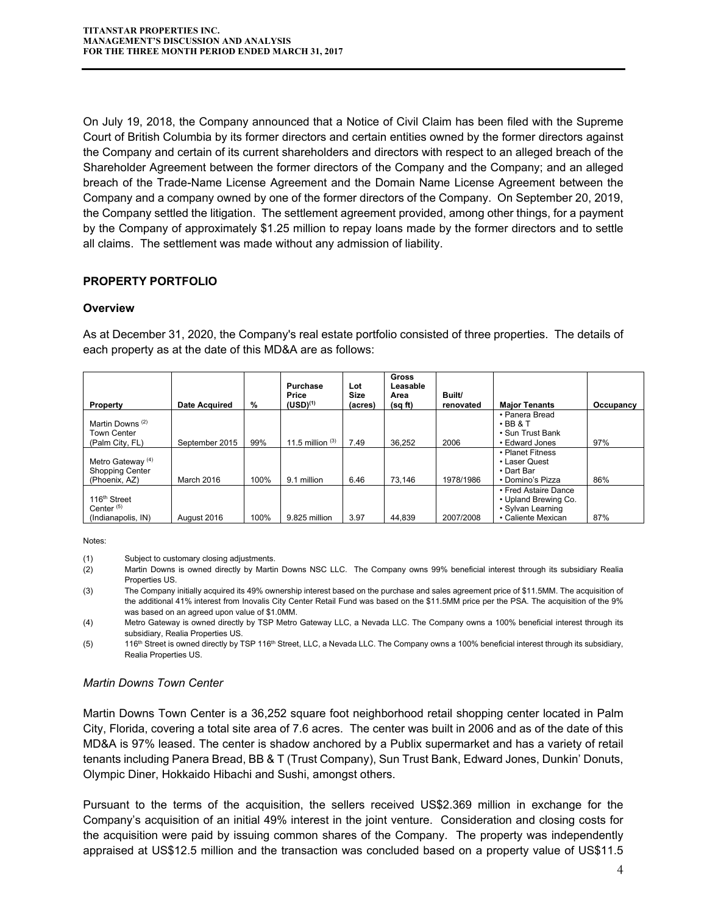On July 19, 2018, the Company announced that a Notice of Civil Claim has been filed with the Supreme Court of British Columbia by its former directors and certain entities owned by the former directors against the Company and certain of its current shareholders and directors with respect to an alleged breach of the Shareholder Agreement between the former directors of the Company and the Company; and an alleged breach of the Trade-Name License Agreement and the Domain Name License Agreement between the Company and a company owned by one of the former directors of the Company. On September 20, 2019, the Company settled the litigation. The settlement agreement provided, among other things, for a payment by the Company of approximately \$1.25 million to repay loans made by the former directors and to settle all claims. The settlement was made without any admission of liability.

## **PROPERTY PORTFOLIO**

#### **Overview**

As at December 31, 2020, the Company's real estate portfolio consisted of three properties. The details of each property as at the date of this MD&A are as follows:

| Property                                                                | <b>Date Acquired</b> | %    | Purchase<br>Price<br>$(USD)^{(1)}$ | Lot<br><b>Size</b><br>(acres) | <b>Gross</b><br>Leasable<br>Area<br>(sq ft) | Built/<br>renovated | <b>Major Tenants</b>                                                                    | Occupancy |
|-------------------------------------------------------------------------|----------------------|------|------------------------------------|-------------------------------|---------------------------------------------|---------------------|-----------------------------------------------------------------------------------------|-----------|
| Martin Downs <sup>(2)</sup><br><b>Town Center</b><br>(Palm City, FL)    | September 2015       | 99%  | 11.5 million $(3)$                 | 7.49                          | 36,252                                      | 2006                | • Panera Bread<br>$\cdot$ BB & T<br>• Sun Trust Bank<br>• Edward Jones                  | 97%       |
| Metro Gateway <sup>(4)</sup><br><b>Shopping Center</b><br>(Phoenix, AZ) | March 2016           | 100% | 9.1 million                        | 6.46                          | 73.146                                      | 1978/1986           | • Planet Fitness<br>• Laser Quest<br>• Dart Bar<br>• Domino's Pizza                     | 86%       |
| 116 <sup>th</sup> Street<br>Center $(5)$<br>(Indianapolis, IN)          | August 2016          | 100% | 9.825 million                      | 3.97                          | 44.839                                      | 2007/2008           | • Fred Astaire Dance<br>• Upland Brewing Co.<br>• Sylvan Learning<br>• Caliente Mexican | 87%       |

Notes:

(1) Subject to customary closing adjustments.

- (2) Martin Downs is owned directly by Martin Downs NSC LLC. The Company owns 99% beneficial interest through its subsidiary Realia Properties US.
- (3) The Company initially acquired its 49% ownership interest based on the purchase and sales agreement price of \$11.5MM. The acquisition of the additional 41% interest from Inovalis City Center Retail Fund was based on the \$11.5MM price per the PSA. The acquisition of the 9% was based on an agreed upon value of \$1.0MM.

(4) Metro Gateway is owned directly by TSP Metro Gateway LLC, a Nevada LLC. The Company owns a 100% beneficial interest through its subsidiary, Realia Properties US.

(5) 116<sup>th</sup> Street is owned directly by TSP 116<sup>th</sup> Street, LLC, a Nevada LLC. The Company owns a 100% beneficial interest through its subsidiary, Realia Properties US.

#### *Martin Downs Town Center*

Martin Downs Town Center is a 36,252 square foot neighborhood retail shopping center located in Palm City, Florida, covering a total site area of 7.6 acres. The center was built in 2006 and as of the date of this MD&A is 97% leased. The center is shadow anchored by a Publix supermarket and has a variety of retail tenants including Panera Bread, BB & T (Trust Company), Sun Trust Bank, Edward Jones, Dunkin' Donuts, Olympic Diner, Hokkaido Hibachi and Sushi, amongst others.

Pursuant to the terms of the acquisition, the sellers received US\$2.369 million in exchange for the Company's acquisition of an initial 49% interest in the joint venture. Consideration and closing costs for the acquisition were paid by issuing common shares of the Company. The property was independently appraised at US\$12.5 million and the transaction was concluded based on a property value of US\$11.5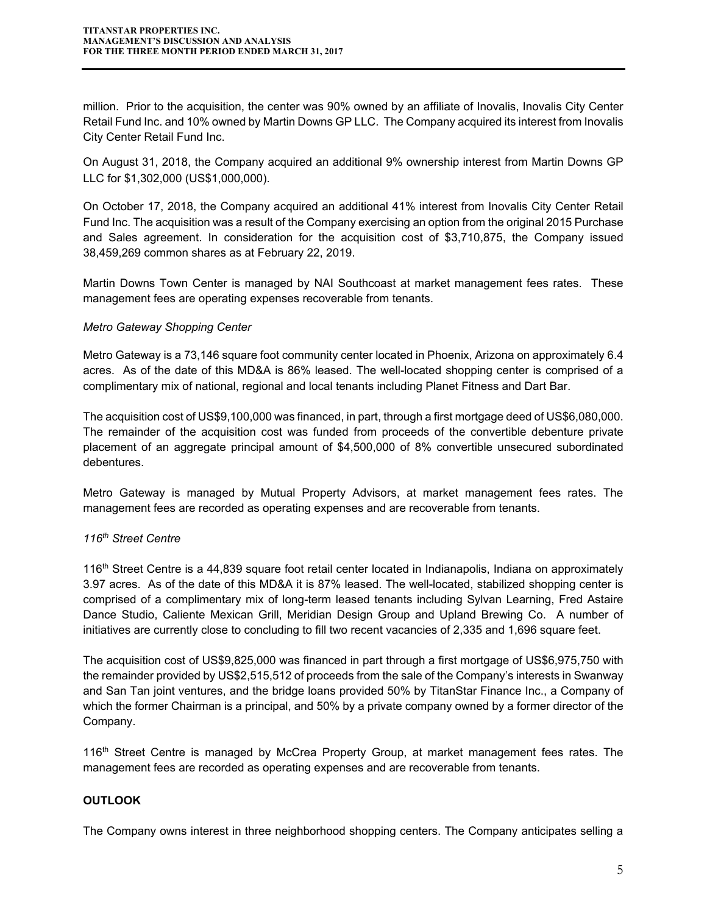million. Prior to the acquisition, the center was 90% owned by an affiliate of Inovalis, Inovalis City Center Retail Fund Inc. and 10% owned by Martin Downs GP LLC. The Company acquired its interest from Inovalis City Center Retail Fund Inc.

On August 31, 2018, the Company acquired an additional 9% ownership interest from Martin Downs GP LLC for \$1,302,000 (US\$1,000,000).

On October 17, 2018, the Company acquired an additional 41% interest from Inovalis City Center Retail Fund Inc. The acquisition was a result of the Company exercising an option from the original 2015 Purchase and Sales agreement. In consideration for the acquisition cost of \$3,710,875, the Company issued 38,459,269 common shares as at February 22, 2019.

Martin Downs Town Center is managed by NAI Southcoast at market management fees rates. These management fees are operating expenses recoverable from tenants.

## *Metro Gateway Shopping Center*

Metro Gateway is a 73,146 square foot community center located in Phoenix, Arizona on approximately 6.4 acres. As of the date of this MD&A is 86% leased. The well-located shopping center is comprised of a complimentary mix of national, regional and local tenants including Planet Fitness and Dart Bar.

The acquisition cost of US\$9,100,000 was financed, in part, through a first mortgage deed of US\$6,080,000. The remainder of the acquisition cost was funded from proceeds of the convertible debenture private placement of an aggregate principal amount of \$4,500,000 of 8% convertible unsecured subordinated debentures.

Metro Gateway is managed by Mutual Property Advisors, at market management fees rates. The management fees are recorded as operating expenses and are recoverable from tenants.

#### *116th Street Centre*

116th Street Centre is a 44,839 square foot retail center located in Indianapolis, Indiana on approximately 3.97 acres. As of the date of this MD&A it is 87% leased. The well-located, stabilized shopping center is comprised of a complimentary mix of long-term leased tenants including Sylvan Learning, Fred Astaire Dance Studio, Caliente Mexican Grill, Meridian Design Group and Upland Brewing Co. A number of initiatives are currently close to concluding to fill two recent vacancies of 2,335 and 1,696 square feet.

The acquisition cost of US\$9,825,000 was financed in part through a first mortgage of US\$6,975,750 with the remainder provided by US\$2,515,512 of proceeds from the sale of the Company's interests in Swanway and San Tan joint ventures, and the bridge loans provided 50% by TitanStar Finance Inc., a Company of which the former Chairman is a principal, and 50% by a private company owned by a former director of the Company.

116th Street Centre is managed by McCrea Property Group, at market management fees rates. The management fees are recorded as operating expenses and are recoverable from tenants.

## **OUTLOOK**

The Company owns interest in three neighborhood shopping centers. The Company anticipates selling a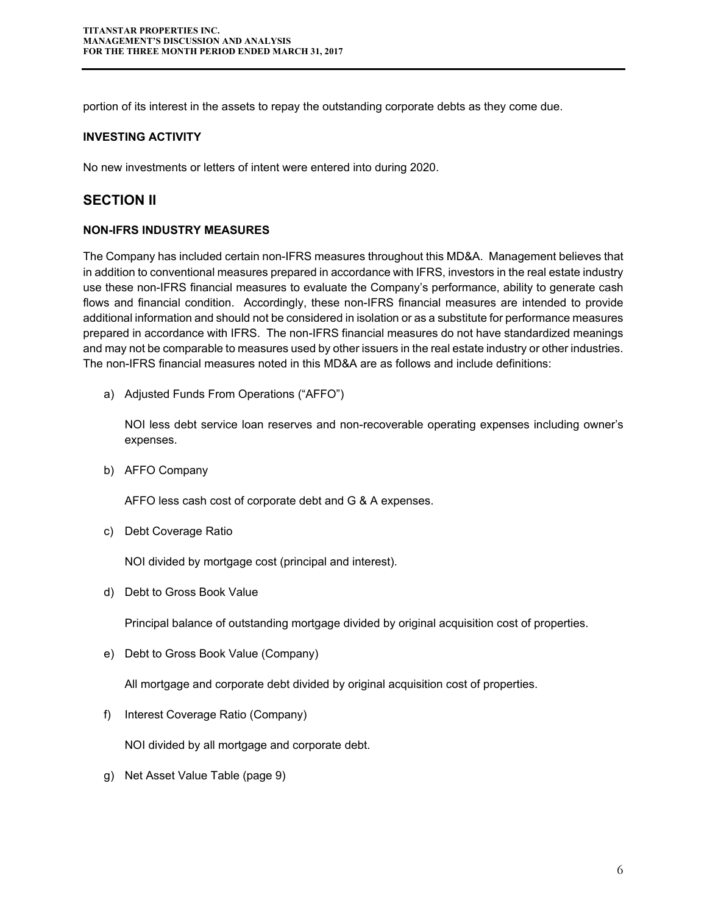portion of its interest in the assets to repay the outstanding corporate debts as they come due.

#### **INVESTING ACTIVITY**

No new investments or letters of intent were entered into during 2020.

## **SECTION II**

#### **NON-IFRS INDUSTRY MEASURES**

The Company has included certain non-IFRS measures throughout this MD&A. Management believes that in addition to conventional measures prepared in accordance with IFRS, investors in the real estate industry use these non-IFRS financial measures to evaluate the Company's performance, ability to generate cash flows and financial condition. Accordingly, these non-IFRS financial measures are intended to provide additional information and should not be considered in isolation or as a substitute for performance measures prepared in accordance with IFRS. The non-IFRS financial measures do not have standardized meanings and may not be comparable to measures used by other issuers in the real estate industry or other industries. The non-IFRS financial measures noted in this MD&A are as follows and include definitions:

a) Adjusted Funds From Operations ("AFFO")

NOI less debt service loan reserves and non-recoverable operating expenses including owner's expenses.

b) AFFO Company

AFFO less cash cost of corporate debt and G & A expenses.

c) Debt Coverage Ratio

NOI divided by mortgage cost (principal and interest).

d) Debt to Gross Book Value

Principal balance of outstanding mortgage divided by original acquisition cost of properties.

e) Debt to Gross Book Value (Company)

All mortgage and corporate debt divided by original acquisition cost of properties.

f) Interest Coverage Ratio (Company)

NOI divided by all mortgage and corporate debt.

g) Net Asset Value Table (page 9)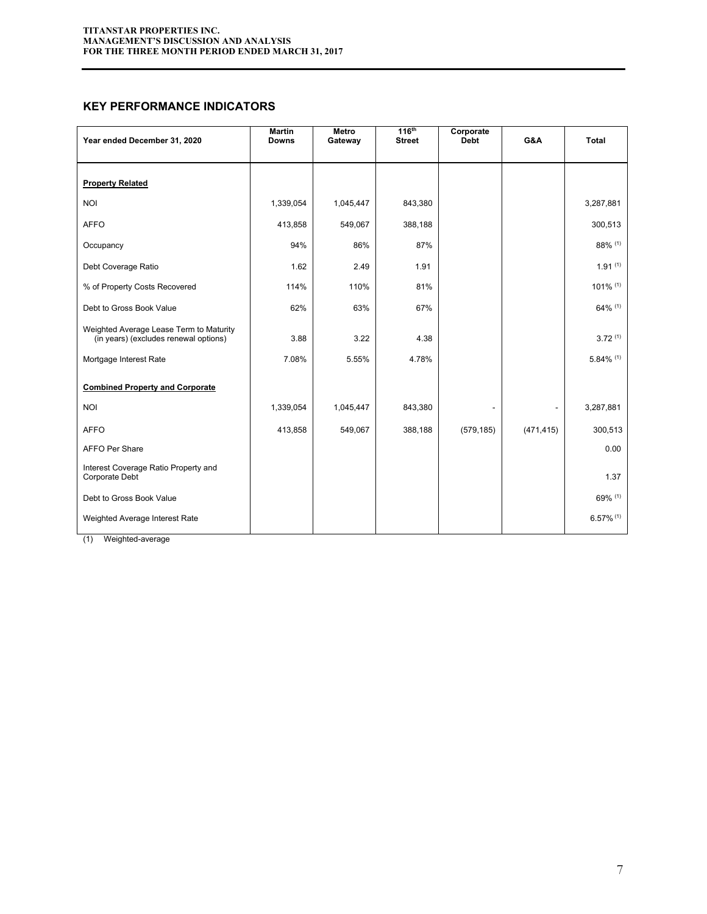#### **KEY PERFORMANCE INDICATORS**

| Year ended December 31, 2020                                                     | <b>Martin</b><br><b>Downs</b> | Metro<br>Gateway | 116 <sup>th</sup><br><b>Street</b> | Corporate<br><b>Debt</b> | G&A        | Total                   |
|----------------------------------------------------------------------------------|-------------------------------|------------------|------------------------------------|--------------------------|------------|-------------------------|
| <b>Property Related</b>                                                          |                               |                  |                                    |                          |            |                         |
| <b>NOI</b>                                                                       | 1,339,054                     | 1,045,447        | 843,380                            |                          |            | 3,287,881               |
| <b>AFFO</b>                                                                      | 413,858                       | 549,067          | 388,188                            |                          |            | 300,513                 |
| Occupancy                                                                        | 94%                           | 86%              | 87%                                |                          |            | 88% (1)                 |
| Debt Coverage Ratio                                                              | 1.62                          | 2.49             | 1.91                               |                          |            | $1.91^{(1)}$            |
| % of Property Costs Recovered                                                    | 114%                          | 110%             | 81%                                |                          |            | 101% (1)                |
| Debt to Gross Book Value                                                         | 62%                           | 63%              | 67%                                |                          |            | 64% (1)                 |
| Weighted Average Lease Term to Maturity<br>(in years) (excludes renewal options) | 3.88                          | 3.22             | 4.38                               |                          |            | 3.72(1)                 |
| Mortgage Interest Rate                                                           | 7.08%                         | 5.55%            | 4.78%                              |                          |            | $5.84\%$ (1)            |
| <b>Combined Property and Corporate</b>                                           |                               |                  |                                    |                          |            |                         |
| <b>NOI</b>                                                                       | 1,339,054                     | 1,045,447        | 843,380                            |                          |            | 3,287,881               |
| <b>AFFO</b>                                                                      | 413,858                       | 549,067          | 388,188                            | (579, 185)               | (471, 415) | 300,513                 |
| <b>AFFO Per Share</b>                                                            |                               |                  |                                    |                          |            | 0.00                    |
| Interest Coverage Ratio Property and<br>Corporate Debt                           |                               |                  |                                    |                          |            | 1.37                    |
| Debt to Gross Book Value                                                         |                               |                  |                                    |                          |            | 69% (1)                 |
| Weighted Average Interest Rate                                                   |                               |                  |                                    |                          |            | $6.57\%$ <sup>(1)</sup> |

(1) Weighted-average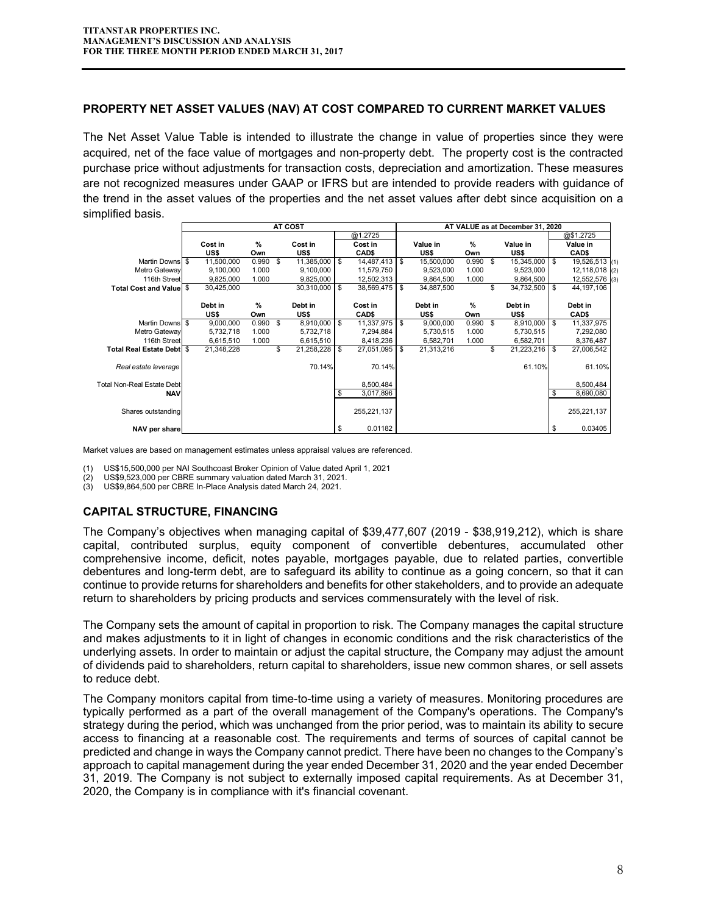#### **PROPERTY NET ASSET VALUES (NAV) AT COST COMPARED TO CURRENT MARKET VALUES**

The Net Asset Value Table is intended to illustrate the change in value of properties since they were acquired, net of the face value of mortgages and non-property debt. The property cost is the contracted purchase price without adjustments for transaction costs, depreciation and amortization. These measures are not recognized measures under GAAP or IFRS but are intended to provide readers with guidance of the trend in the asset values of the properties and the net asset values after debt since acquisition on a simplified basis.

|                                   |     | AT COST    |       |    |            |     |             |    | AT VALUE as at December 31, 2020 |            |    |                   |      |                |  |
|-----------------------------------|-----|------------|-------|----|------------|-----|-------------|----|----------------------------------|------------|----|-------------------|------|----------------|--|
|                                   |     |            |       |    |            |     | @1.2725     |    |                                  |            |    |                   |      | @\$1.2725      |  |
|                                   |     | Cost in    | %     |    | Cost in    |     | Cost in     |    | Value in                         | %          |    | Value in          |      | Value in       |  |
|                                   |     | US\$       | Own   |    | US\$       |     | CAD\$       |    | US\$                             | Own        |    | US\$              |      | CAD\$          |  |
| <b>Martin Downs</b>               | -\$ | 11,500,000 | 0.990 | \$ | 11,385,000 | \$  | 14,487,413  | \$ | 15,500,000                       | $0.990$ \$ |    | $15,345,000$ \ \$ |      | 19,526,513 (1) |  |
| Metro Gateway                     |     | 9,100,000  | 1.000 |    | 9,100,000  |     | 11,579,750  |    | 9,523,000                        | 1.000      |    | 9,523,000         |      | 12,118,018 (2) |  |
| 116th Street                      |     | 9,825,000  | 1.000 |    | 9,825,000  |     | 12,502,313  |    | 9,864,500                        | 1.000      |    | 9,864,500         |      | 12,552,576 (3) |  |
| <b>Total Cost and Value</b>       | -S  | 30,425,000 |       |    | 30,310,000 | \$. | 38,569,475  | \$ | 34,887,500                       |            | \$ | $34,732,500$ \ \$ |      | 44, 197, 106   |  |
|                                   |     |            |       |    |            |     |             |    |                                  |            |    |                   |      |                |  |
|                                   |     | Debt in    | %     |    | Debt in    |     | Cost in     |    | Debt in                          | %          |    | Debt in           |      | Debt in        |  |
|                                   |     | US\$       | Own   |    | US\$       |     | CAD\$       |    | US\$                             | Own        |    | US\$              |      | CAD\$          |  |
| <b>Martin Downs</b>               | -\$ | 9,000,000  | 0.990 | \$ | 8,910,000  | \$. | 11,337,975  | \$ | 9,000,000                        | 0.990      | \$ | $8,910,000$ \ \$  |      | 11,337,975     |  |
| Metro Gateway                     |     | 5,732,718  | 1.000 |    | 5,732,718  |     | 7,294,884   |    | 5,730,515                        | 1.000      |    | 5,730,515         |      | 7,292,080      |  |
| 116th Street                      |     | 6,615,510  | 1.000 |    | 6,615,510  |     | 8,418,236   |    | 6,582,701                        | 1.000      |    | 6,582,701         |      | 8,376,487      |  |
| <b>Total Real Estate Debt</b>     | \$  | 21,348,228 |       | \$ | 21,258,228 | \$  | 27,051,095  | \$ | 21,313,216                       |            | \$ | 21,223,216        | - \$ | 27,006,542     |  |
|                                   |     |            |       |    |            |     |             |    |                                  |            |    |                   |      |                |  |
| Real estate leverage              |     |            |       |    | 70.14%     |     | 70.14%      |    |                                  |            |    | 61.10%            |      | 61.10%         |  |
|                                   |     |            |       |    |            |     |             |    |                                  |            |    |                   |      |                |  |
| <b>Total Non-Real Estate Debt</b> |     |            |       |    |            |     | 8,500,484   |    |                                  |            |    |                   |      | 8.500.484      |  |
| <b>NAV</b>                        |     |            |       |    |            | \$  | 3,017,896   |    |                                  |            |    |                   | \$   | 8,690,080      |  |
|                                   |     |            |       |    |            |     |             |    |                                  |            |    |                   |      |                |  |
| Shares outstanding                |     |            |       |    |            |     | 255,221,137 |    |                                  |            |    |                   |      | 255,221,137    |  |
|                                   |     |            |       |    |            |     |             |    |                                  |            |    |                   |      |                |  |
| NAV per share                     |     |            |       |    |            | \$  | 0.01182     |    |                                  |            |    |                   | \$   | 0.03405        |  |

Market values are based on management estimates unless appraisal values are referenced.

(1) US\$15,500,000 per NAI Southcoast Broker Opinion of Value dated April 1, 2021

US\$9,523,000 per CBRE summary valuation dated March 31, 2021.

(3) US\$9,864,500 per CBRE In-Place Analysis dated March 24, 2021.

#### **CAPITAL STRUCTURE, FINANCING**

The Company's objectives when managing capital of \$39,477,607 (2019 - \$38,919,212), which is share capital, contributed surplus, equity component of convertible debentures, accumulated other comprehensive income, deficit, notes payable, mortgages payable, due to related parties, convertible debentures and long-term debt, are to safeguard its ability to continue as a going concern, so that it can continue to provide returns for shareholders and benefits for other stakeholders, and to provide an adequate return to shareholders by pricing products and services commensurately with the level of risk.

The Company sets the amount of capital in proportion to risk. The Company manages the capital structure and makes adjustments to it in light of changes in economic conditions and the risk characteristics of the underlying assets. In order to maintain or adjust the capital structure, the Company may adjust the amount of dividends paid to shareholders, return capital to shareholders, issue new common shares, or sell assets to reduce debt.

The Company monitors capital from time-to-time using a variety of measures. Monitoring procedures are typically performed as a part of the overall management of the Company's operations. The Company's strategy during the period, which was unchanged from the prior period, was to maintain its ability to secure access to financing at a reasonable cost. The requirements and terms of sources of capital cannot be predicted and change in ways the Company cannot predict. There have been no changes to the Company's approach to capital management during the year ended December 31, 2020 and the year ended December 31, 2019. The Company is not subject to externally imposed capital requirements. As at December 31, 2020, the Company is in compliance with it's financial covenant.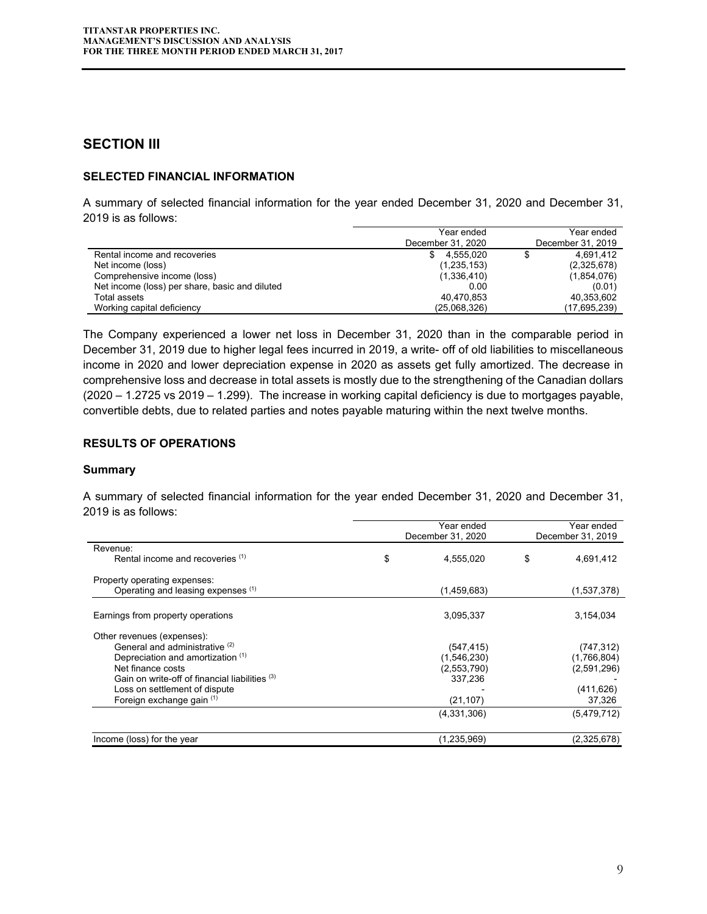## **SECTION III**

#### **SELECTED FINANCIAL INFORMATION**

A summary of selected financial information for the year ended December 31, 2020 and December 31, 2019 is as follows:

|                                                | Year ended        | Year ended        |
|------------------------------------------------|-------------------|-------------------|
|                                                | December 31, 2020 | December 31, 2019 |
| Rental income and recoveries                   | 4.555.020<br>\$.  | 4,691,412         |
| Net income (loss)                              | (1, 235, 153)     | (2,325,678)       |
| Comprehensive income (loss)                    | (1,336,410)       | (1,854,076)       |
| Net income (loss) per share, basic and diluted | 0.00              | (0.01)            |
| Total assets                                   | 40,470,853        | 40,353,602        |
| Working capital deficiency                     | (25,068,326)      | (17,695,239)      |

The Company experienced a lower net loss in December 31, 2020 than in the comparable period in December 31, 2019 due to higher legal fees incurred in 2019, a write- off of old liabilities to miscellaneous income in 2020 and lower depreciation expense in 2020 as assets get fully amortized. The decrease in comprehensive loss and decrease in total assets is mostly due to the strengthening of the Canadian dollars (2020 – 1.2725 vs 2019 – 1.299). The increase in working capital deficiency is due to mortgages payable, convertible debts, due to related parties and notes payable maturing within the next twelve months.

#### **RESULTS OF OPERATIONS**

#### **Summary**

A summary of selected financial information for the year ended December 31, 2020 and December 31, 2019 is as follows:

|                                                | Year ended<br>December 31, 2020 | Year ended<br>December 31, 2019 |
|------------------------------------------------|---------------------------------|---------------------------------|
| Revenue:                                       |                                 |                                 |
| Rental income and recoveries (1)               | \$<br>4,555,020                 | \$<br>4,691,412                 |
| Property operating expenses:                   |                                 |                                 |
| Operating and leasing expenses (1)             | (1,459,683)                     | (1,537,378)                     |
| Earnings from property operations              | 3,095,337                       | 3,154,034                       |
|                                                |                                 |                                 |
| Other revenues (expenses):                     |                                 |                                 |
| General and administrative <sup>(2)</sup>      | (547,415)                       | (747, 312)                      |
| Depreciation and amortization (1)              | (1,546,230)                     | (1,766,804)                     |
| Net finance costs                              | (2,553,790)                     | (2,591,296)                     |
| Gain on write-off of financial liabilities (3) | 337,236                         |                                 |
| Loss on settlement of dispute                  |                                 | (411, 626)                      |
| Foreign exchange gain (1)                      | (21, 107)                       | 37,326                          |
|                                                | (4,331,306)                     | (5,479,712)                     |
| Income (loss) for the year                     | (1,235,969)                     | (2,325,678)                     |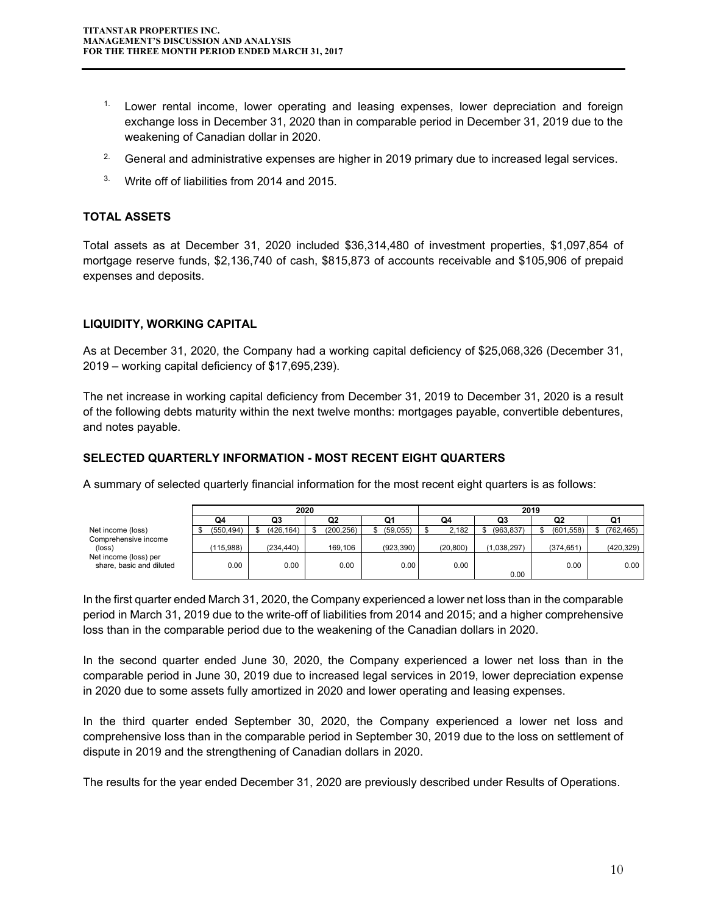- <sup>1.</sup> Lower rental income, lower operating and leasing expenses, lower depreciation and foreign exchange loss in December 31, 2020 than in comparable period in December 31, 2019 due to the weakening of Canadian dollar in 2020.
- <sup>2.</sup> General and administrative expenses are higher in 2019 primary due to increased legal services.
- <sup>3.</sup> Write off of liabilities from 2014 and 2015.

#### **TOTAL ASSETS**

Total assets as at December 31, 2020 included \$36,314,480 of investment properties, \$1,097,854 of mortgage reserve funds, \$2,136,740 of cash, \$815,873 of accounts receivable and \$105,906 of prepaid expenses and deposits.

#### **LIQUIDITY, WORKING CAPITAL**

As at December 31, 2020, the Company had a working capital deficiency of \$25,068,326 (December 31, 2019 – working capital deficiency of \$17,695,239).

The net increase in working capital deficiency from December 31, 2019 to December 31, 2020 is a result of the following debts maturity within the next twelve months: mortgages payable, convertible debentures, and notes payable.

#### **SELECTED QUARTERLY INFORMATION - MOST RECENT EIGHT QUARTERS**

A summary of selected quarterly financial information for the most recent eight quarters is as follows:

|                                                   | 2020      |      |           |  |                |  | 2019       |  |           |    |             |  |            |            |
|---------------------------------------------------|-----------|------|-----------|--|----------------|--|------------|--|-----------|----|-------------|--|------------|------------|
|                                                   | Q4        |      | Q3        |  | Q <sub>2</sub> |  | Q1         |  | Q4        | Q3 |             |  | Q2         | u.         |
| Net income (loss)                                 | (550,494) |      | (426.164) |  | (200, 256)     |  | (59,055)   |  | 2,182     |    | (963, 837)  |  | (601, 558) | (762, 465) |
| Comprehensive income<br>$(\text{loss})$           | (115.988) |      | (234.440) |  | 169.106        |  | (923, 390) |  | (20, 800) |    | (1.038.297) |  | (374, 651) | (420, 329) |
| Net income (loss) per<br>share, basic and diluted |           | 0.00 | 0.00      |  | 0.00           |  | 0.00       |  | 0.00      |    | 0.00        |  | 0.00       | 0.00       |

In the first quarter ended March 31, 2020, the Company experienced a lower net loss than in the comparable period in March 31, 2019 due to the write-off of liabilities from 2014 and 2015; and a higher comprehensive loss than in the comparable period due to the weakening of the Canadian dollars in 2020.

In the second quarter ended June 30, 2020, the Company experienced a lower net loss than in the comparable period in June 30, 2019 due to increased legal services in 2019, lower depreciation expense in 2020 due to some assets fully amortized in 2020 and lower operating and leasing expenses.

In the third quarter ended September 30, 2020, the Company experienced a lower net loss and comprehensive loss than in the comparable period in September 30, 2019 due to the loss on settlement of dispute in 2019 and the strengthening of Canadian dollars in 2020.

The results for the year ended December 31, 2020 are previously described under Results of Operations.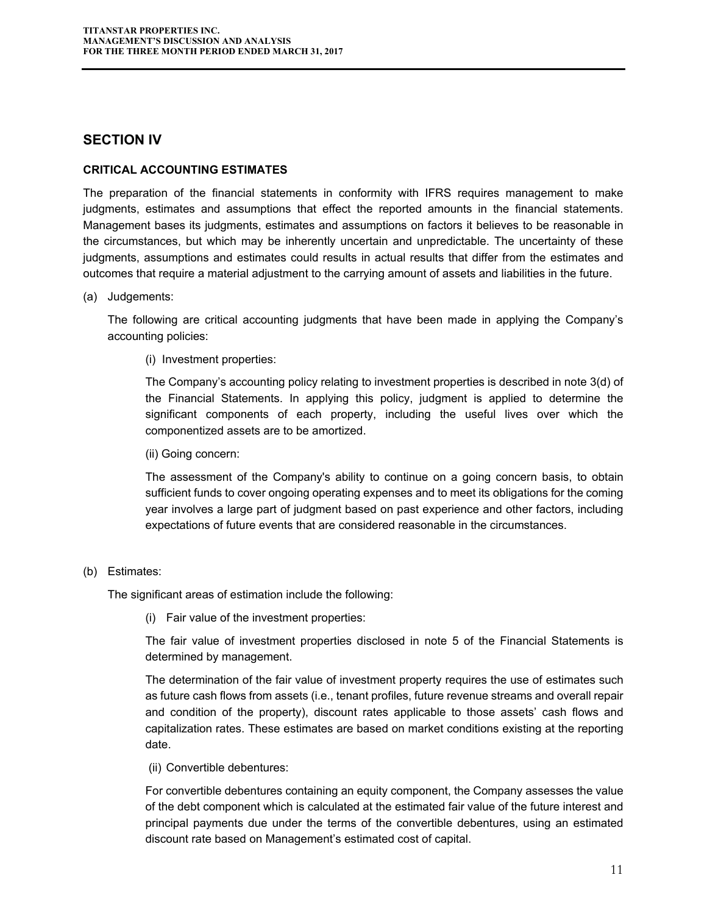## **SECTION IV**

#### **CRITICAL ACCOUNTING ESTIMATES**

The preparation of the financial statements in conformity with IFRS requires management to make judgments, estimates and assumptions that effect the reported amounts in the financial statements. Management bases its judgments, estimates and assumptions on factors it believes to be reasonable in the circumstances, but which may be inherently uncertain and unpredictable. The uncertainty of these judgments, assumptions and estimates could results in actual results that differ from the estimates and outcomes that require a material adjustment to the carrying amount of assets and liabilities in the future.

#### (a) Judgements:

The following are critical accounting judgments that have been made in applying the Company's accounting policies:

#### (i) Investment properties:

The Company's accounting policy relating to investment properties is described in note 3(d) of the Financial Statements. In applying this policy, judgment is applied to determine the significant components of each property, including the useful lives over which the componentized assets are to be amortized.

#### (ii) Going concern:

The assessment of the Company's ability to continue on a going concern basis, to obtain sufficient funds to cover ongoing operating expenses and to meet its obligations for the coming year involves a large part of judgment based on past experience and other factors, including expectations of future events that are considered reasonable in the circumstances.

#### (b) Estimates:

The significant areas of estimation include the following:

(i) Fair value of the investment properties:

The fair value of investment properties disclosed in note 5 of the Financial Statements is determined by management.

The determination of the fair value of investment property requires the use of estimates such as future cash flows from assets (i.e., tenant profiles, future revenue streams and overall repair and condition of the property), discount rates applicable to those assets' cash flows and capitalization rates. These estimates are based on market conditions existing at the reporting date.

(ii) Convertible debentures:

For convertible debentures containing an equity component, the Company assesses the value of the debt component which is calculated at the estimated fair value of the future interest and principal payments due under the terms of the convertible debentures, using an estimated discount rate based on Management's estimated cost of capital.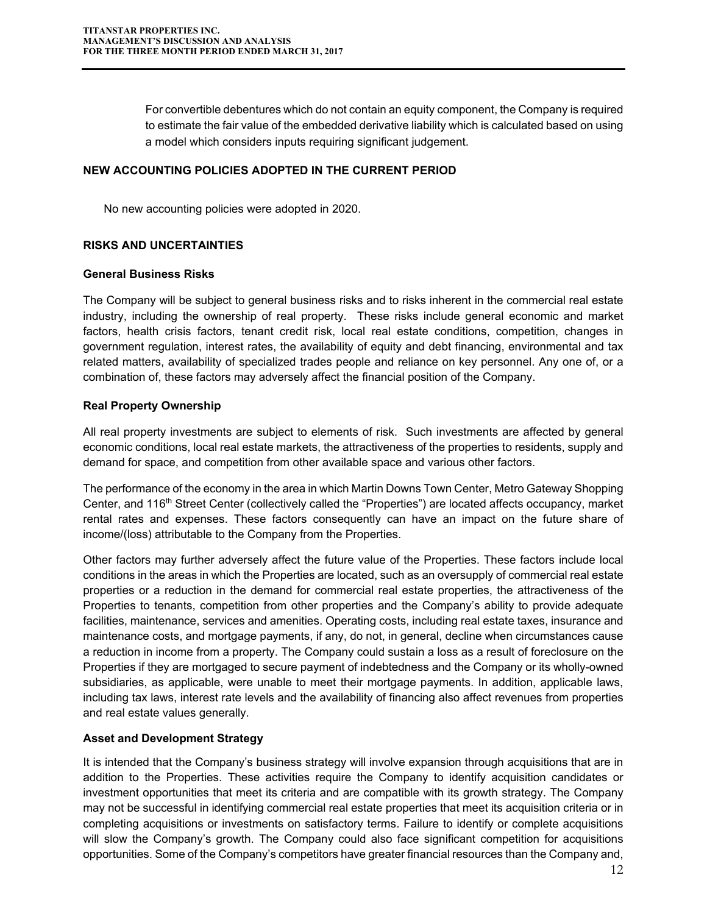For convertible debentures which do not contain an equity component, the Company is required to estimate the fair value of the embedded derivative liability which is calculated based on using a model which considers inputs requiring significant judgement.

#### **NEW ACCOUNTING POLICIES ADOPTED IN THE CURRENT PERIOD**

No new accounting policies were adopted in 2020.

#### **RISKS AND UNCERTAINTIES**

#### **General Business Risks**

The Company will be subject to general business risks and to risks inherent in the commercial real estate industry, including the ownership of real property. These risks include general economic and market factors, health crisis factors, tenant credit risk, local real estate conditions, competition, changes in government regulation, interest rates, the availability of equity and debt financing, environmental and tax related matters, availability of specialized trades people and reliance on key personnel. Any one of, or a combination of, these factors may adversely affect the financial position of the Company.

#### **Real Property Ownership**

All real property investments are subject to elements of risk. Such investments are affected by general economic conditions, local real estate markets, the attractiveness of the properties to residents, supply and demand for space, and competition from other available space and various other factors.

The performance of the economy in the area in which Martin Downs Town Center, Metro Gateway Shopping Center, and 116<sup>th</sup> Street Center (collectively called the "Properties") are located affects occupancy, market rental rates and expenses. These factors consequently can have an impact on the future share of income/(loss) attributable to the Company from the Properties.

Other factors may further adversely affect the future value of the Properties. These factors include local conditions in the areas in which the Properties are located, such as an oversupply of commercial real estate properties or a reduction in the demand for commercial real estate properties, the attractiveness of the Properties to tenants, competition from other properties and the Company's ability to provide adequate facilities, maintenance, services and amenities. Operating costs, including real estate taxes, insurance and maintenance costs, and mortgage payments, if any, do not, in general, decline when circumstances cause a reduction in income from a property. The Company could sustain a loss as a result of foreclosure on the Properties if they are mortgaged to secure payment of indebtedness and the Company or its wholly-owned subsidiaries, as applicable, were unable to meet their mortgage payments. In addition, applicable laws, including tax laws, interest rate levels and the availability of financing also affect revenues from properties and real estate values generally.

#### **Asset and Development Strategy**

It is intended that the Company's business strategy will involve expansion through acquisitions that are in addition to the Properties. These activities require the Company to identify acquisition candidates or investment opportunities that meet its criteria and are compatible with its growth strategy. The Company may not be successful in identifying commercial real estate properties that meet its acquisition criteria or in completing acquisitions or investments on satisfactory terms. Failure to identify or complete acquisitions will slow the Company's growth. The Company could also face significant competition for acquisitions opportunities. Some of the Company's competitors have greater financial resources than the Company and,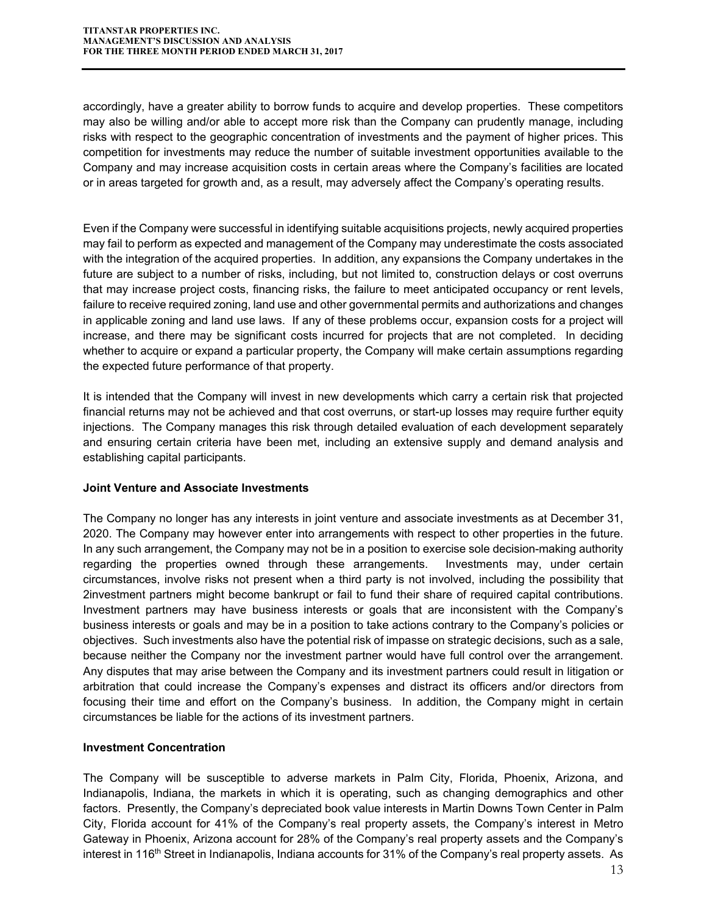accordingly, have a greater ability to borrow funds to acquire and develop properties. These competitors may also be willing and/or able to accept more risk than the Company can prudently manage, including risks with respect to the geographic concentration of investments and the payment of higher prices. This competition for investments may reduce the number of suitable investment opportunities available to the Company and may increase acquisition costs in certain areas where the Company's facilities are located or in areas targeted for growth and, as a result, may adversely affect the Company's operating results.

Even if the Company were successful in identifying suitable acquisitions projects, newly acquired properties may fail to perform as expected and management of the Company may underestimate the costs associated with the integration of the acquired properties. In addition, any expansions the Company undertakes in the future are subject to a number of risks, including, but not limited to, construction delays or cost overruns that may increase project costs, financing risks, the failure to meet anticipated occupancy or rent levels, failure to receive required zoning, land use and other governmental permits and authorizations and changes in applicable zoning and land use laws. If any of these problems occur, expansion costs for a project will increase, and there may be significant costs incurred for projects that are not completed. In deciding whether to acquire or expand a particular property, the Company will make certain assumptions regarding the expected future performance of that property.

It is intended that the Company will invest in new developments which carry a certain risk that projected financial returns may not be achieved and that cost overruns, or start-up losses may require further equity injections. The Company manages this risk through detailed evaluation of each development separately and ensuring certain criteria have been met, including an extensive supply and demand analysis and establishing capital participants.

#### **Joint Venture and Associate Investments**

The Company no longer has any interests in joint venture and associate investments as at December 31, 2020. The Company may however enter into arrangements with respect to other properties in the future. In any such arrangement, the Company may not be in a position to exercise sole decision-making authority regarding the properties owned through these arrangements. Investments may, under certain circumstances, involve risks not present when a third party is not involved, including the possibility that 2investment partners might become bankrupt or fail to fund their share of required capital contributions. Investment partners may have business interests or goals that are inconsistent with the Company's business interests or goals and may be in a position to take actions contrary to the Company's policies or objectives. Such investments also have the potential risk of impasse on strategic decisions, such as a sale, because neither the Company nor the investment partner would have full control over the arrangement. Any disputes that may arise between the Company and its investment partners could result in litigation or arbitration that could increase the Company's expenses and distract its officers and/or directors from focusing their time and effort on the Company's business. In addition, the Company might in certain circumstances be liable for the actions of its investment partners.

#### **Investment Concentration**

The Company will be susceptible to adverse markets in Palm City, Florida, Phoenix, Arizona, and Indianapolis, Indiana, the markets in which it is operating, such as changing demographics and other factors. Presently, the Company's depreciated book value interests in Martin Downs Town Center in Palm City, Florida account for 41% of the Company's real property assets, the Company's interest in Metro Gateway in Phoenix, Arizona account for 28% of the Company's real property assets and the Company's interest in 116<sup>th</sup> Street in Indianapolis, Indiana accounts for 31% of the Company's real property assets. As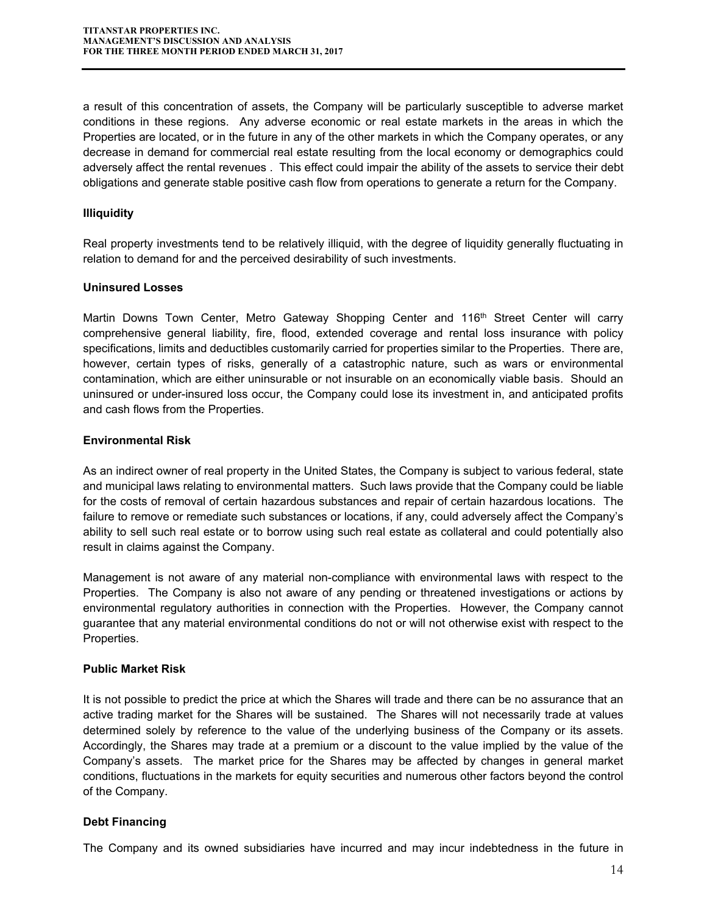a result of this concentration of assets, the Company will be particularly susceptible to adverse market conditions in these regions. Any adverse economic or real estate markets in the areas in which the Properties are located, or in the future in any of the other markets in which the Company operates, or any decrease in demand for commercial real estate resulting from the local economy or demographics could adversely affect the rental revenues . This effect could impair the ability of the assets to service their debt obligations and generate stable positive cash flow from operations to generate a return for the Company.

## **Illiquidity**

Real property investments tend to be relatively illiquid, with the degree of liquidity generally fluctuating in relation to demand for and the perceived desirability of such investments.

#### **Uninsured Losses**

Martin Downs Town Center, Metro Gateway Shopping Center and 116<sup>th</sup> Street Center will carry comprehensive general liability, fire, flood, extended coverage and rental loss insurance with policy specifications, limits and deductibles customarily carried for properties similar to the Properties. There are, however, certain types of risks, generally of a catastrophic nature, such as wars or environmental contamination, which are either uninsurable or not insurable on an economically viable basis. Should an uninsured or under-insured loss occur, the Company could lose its investment in, and anticipated profits and cash flows from the Properties.

#### **Environmental Risk**

As an indirect owner of real property in the United States, the Company is subject to various federal, state and municipal laws relating to environmental matters. Such laws provide that the Company could be liable for the costs of removal of certain hazardous substances and repair of certain hazardous locations. The failure to remove or remediate such substances or locations, if any, could adversely affect the Company's ability to sell such real estate or to borrow using such real estate as collateral and could potentially also result in claims against the Company.

Management is not aware of any material non-compliance with environmental laws with respect to the Properties. The Company is also not aware of any pending or threatened investigations or actions by environmental regulatory authorities in connection with the Properties. However, the Company cannot guarantee that any material environmental conditions do not or will not otherwise exist with respect to the Properties.

#### **Public Market Risk**

It is not possible to predict the price at which the Shares will trade and there can be no assurance that an active trading market for the Shares will be sustained. The Shares will not necessarily trade at values determined solely by reference to the value of the underlying business of the Company or its assets. Accordingly, the Shares may trade at a premium or a discount to the value implied by the value of the Company's assets. The market price for the Shares may be affected by changes in general market conditions, fluctuations in the markets for equity securities and numerous other factors beyond the control of the Company.

#### **Debt Financing**

The Company and its owned subsidiaries have incurred and may incur indebtedness in the future in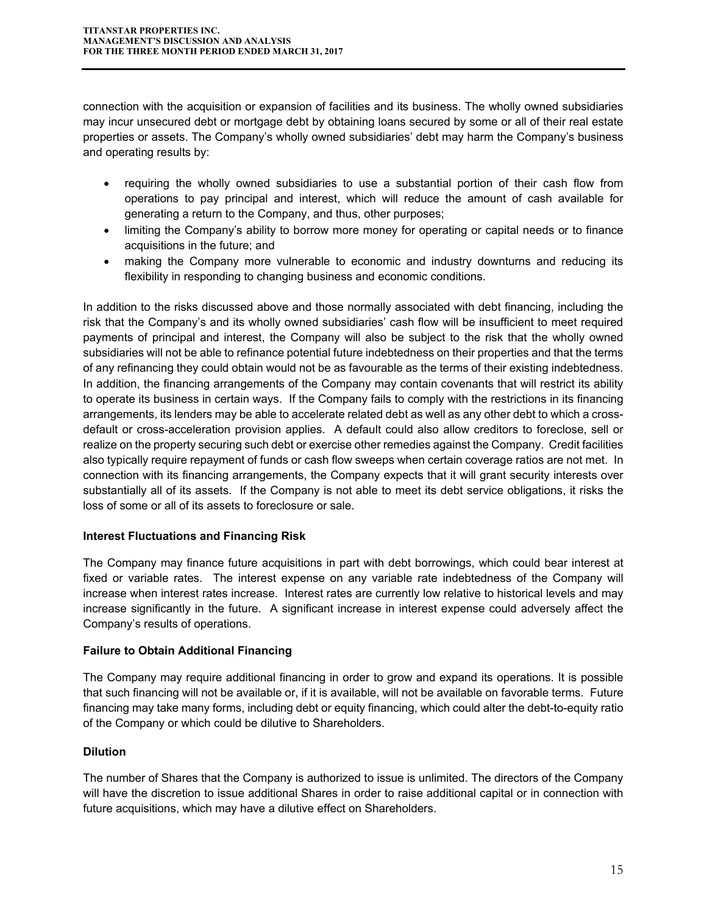connection with the acquisition or expansion of facilities and its business. The wholly owned subsidiaries may incur unsecured debt or mortgage debt by obtaining loans secured by some or all of their real estate properties or assets. The Company's wholly owned subsidiaries' debt may harm the Company's business and operating results by:

- requiring the wholly owned subsidiaries to use a substantial portion of their cash flow from operations to pay principal and interest, which will reduce the amount of cash available for generating a return to the Company, and thus, other purposes;
- limiting the Company's ability to borrow more money for operating or capital needs or to finance acquisitions in the future; and
- making the Company more vulnerable to economic and industry downturns and reducing its flexibility in responding to changing business and economic conditions.

In addition to the risks discussed above and those normally associated with debt financing, including the risk that the Company's and its wholly owned subsidiaries' cash flow will be insufficient to meet required payments of principal and interest, the Company will also be subject to the risk that the wholly owned subsidiaries will not be able to refinance potential future indebtedness on their properties and that the terms of any refinancing they could obtain would not be as favourable as the terms of their existing indebtedness. In addition, the financing arrangements of the Company may contain covenants that will restrict its ability to operate its business in certain ways. If the Company fails to comply with the restrictions in its financing arrangements, its lenders may be able to accelerate related debt as well as any other debt to which a crossdefault or cross-acceleration provision applies. A default could also allow creditors to foreclose, sell or realize on the property securing such debt or exercise other remedies against the Company. Credit facilities also typically require repayment of funds or cash flow sweeps when certain coverage ratios are not met. In connection with its financing arrangements, the Company expects that it will grant security interests over substantially all of its assets. If the Company is not able to meet its debt service obligations, it risks the loss of some or all of its assets to foreclosure or sale.

## **Interest Fluctuations and Financing Risk**

The Company may finance future acquisitions in part with debt borrowings, which could bear interest at fixed or variable rates. The interest expense on any variable rate indebtedness of the Company will increase when interest rates increase. Interest rates are currently low relative to historical levels and may increase significantly in the future. A significant increase in interest expense could adversely affect the Company's results of operations.

## **Failure to Obtain Additional Financing**

The Company may require additional financing in order to grow and expand its operations. It is possible that such financing will not be available or, if it is available, will not be available on favorable terms. Future financing may take many forms, including debt or equity financing, which could alter the debt-to-equity ratio of the Company or which could be dilutive to Shareholders.

## **Dilution**

The number of Shares that the Company is authorized to issue is unlimited. The directors of the Company will have the discretion to issue additional Shares in order to raise additional capital or in connection with future acquisitions, which may have a dilutive effect on Shareholders.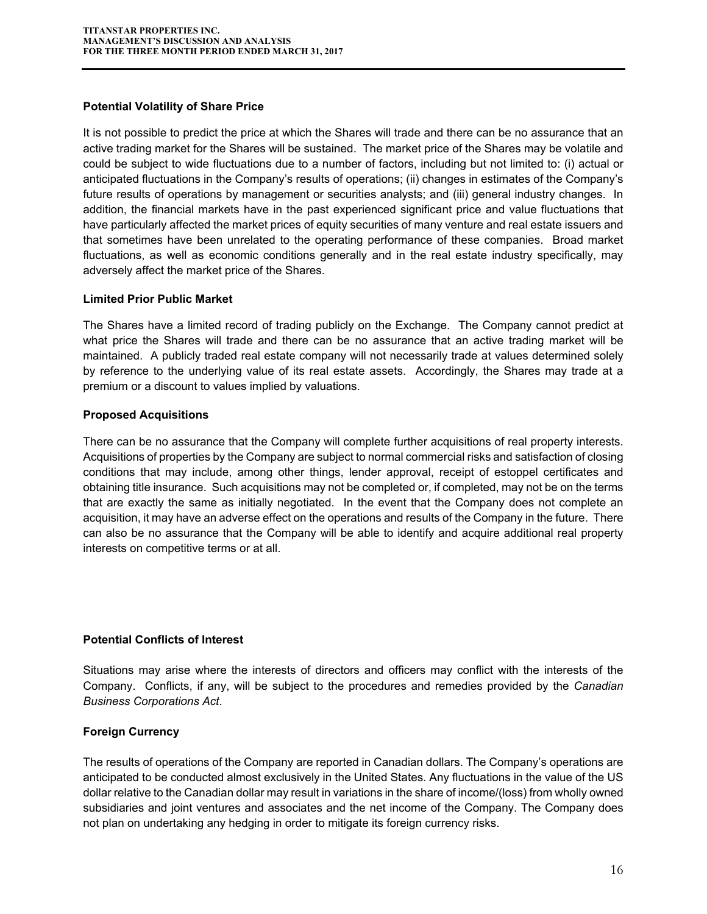#### **Potential Volatility of Share Price**

It is not possible to predict the price at which the Shares will trade and there can be no assurance that an active trading market for the Shares will be sustained. The market price of the Shares may be volatile and could be subject to wide fluctuations due to a number of factors, including but not limited to: (i) actual or anticipated fluctuations in the Company's results of operations; (ii) changes in estimates of the Company's future results of operations by management or securities analysts; and (iii) general industry changes. In addition, the financial markets have in the past experienced significant price and value fluctuations that have particularly affected the market prices of equity securities of many venture and real estate issuers and that sometimes have been unrelated to the operating performance of these companies. Broad market fluctuations, as well as economic conditions generally and in the real estate industry specifically, may adversely affect the market price of the Shares.

#### **Limited Prior Public Market**

The Shares have a limited record of trading publicly on the Exchange. The Company cannot predict at what price the Shares will trade and there can be no assurance that an active trading market will be maintained. A publicly traded real estate company will not necessarily trade at values determined solely by reference to the underlying value of its real estate assets. Accordingly, the Shares may trade at a premium or a discount to values implied by valuations.

#### **Proposed Acquisitions**

There can be no assurance that the Company will complete further acquisitions of real property interests. Acquisitions of properties by the Company are subject to normal commercial risks and satisfaction of closing conditions that may include, among other things, lender approval, receipt of estoppel certificates and obtaining title insurance. Such acquisitions may not be completed or, if completed, may not be on the terms that are exactly the same as initially negotiated. In the event that the Company does not complete an acquisition, it may have an adverse effect on the operations and results of the Company in the future. There can also be no assurance that the Company will be able to identify and acquire additional real property interests on competitive terms or at all.

#### **Potential Conflicts of Interest**

Situations may arise where the interests of directors and officers may conflict with the interests of the Company. Conflicts, if any, will be subject to the procedures and remedies provided by the *Canadian Business Corporations Act*.

#### **Foreign Currency**

The results of operations of the Company are reported in Canadian dollars. The Company's operations are anticipated to be conducted almost exclusively in the United States. Any fluctuations in the value of the US dollar relative to the Canadian dollar may result in variations in the share of income/(loss) from wholly owned subsidiaries and joint ventures and associates and the net income of the Company. The Company does not plan on undertaking any hedging in order to mitigate its foreign currency risks.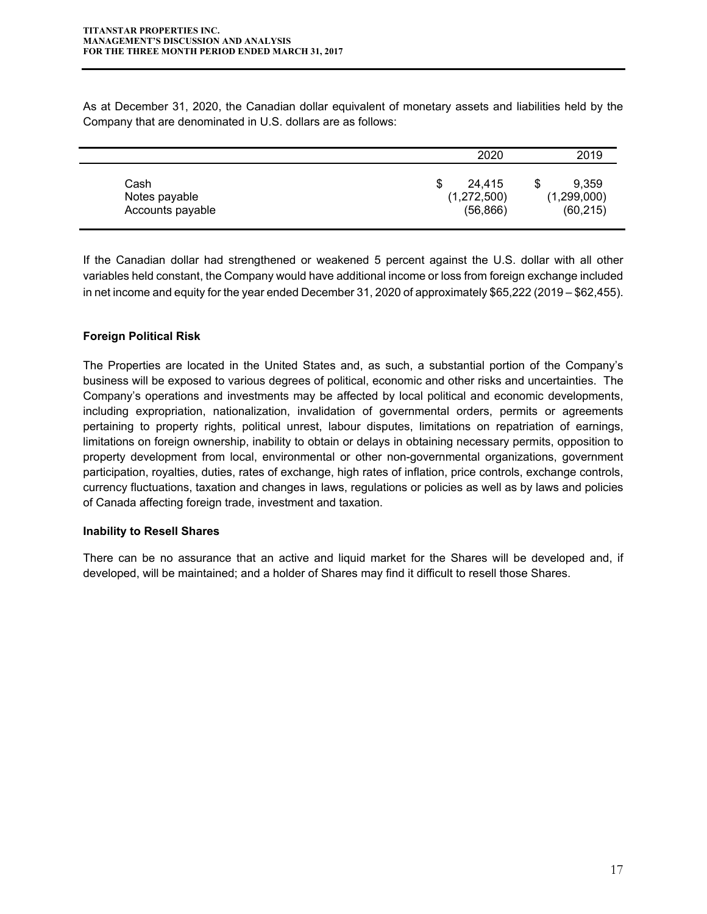As at December 31, 2020, the Canadian dollar equivalent of monetary assets and liabilities held by the Company that are denominated in U.S. dollars are as follows:

|                                           | 2020                                    | 2019                              |
|-------------------------------------------|-----------------------------------------|-----------------------------------|
| Cash<br>Notes payable<br>Accounts payable | 24.415<br>S<br>(1,272,500)<br>(56, 866) | 9.359<br>(1,299,000)<br>(60, 215) |

If the Canadian dollar had strengthened or weakened 5 percent against the U.S. dollar with all other variables held constant, the Company would have additional income or loss from foreign exchange included in net income and equity for the year ended December 31, 2020 of approximately \$65,222 (2019 – \$62,455).

## **Foreign Political Risk**

The Properties are located in the United States and, as such, a substantial portion of the Company's business will be exposed to various degrees of political, economic and other risks and uncertainties. The Company's operations and investments may be affected by local political and economic developments, including expropriation, nationalization, invalidation of governmental orders, permits or agreements pertaining to property rights, political unrest, labour disputes, limitations on repatriation of earnings, limitations on foreign ownership, inability to obtain or delays in obtaining necessary permits, opposition to property development from local, environmental or other non-governmental organizations, government participation, royalties, duties, rates of exchange, high rates of inflation, price controls, exchange controls, currency fluctuations, taxation and changes in laws, regulations or policies as well as by laws and policies of Canada affecting foreign trade, investment and taxation.

#### **Inability to Resell Shares**

There can be no assurance that an active and liquid market for the Shares will be developed and, if developed, will be maintained; and a holder of Shares may find it difficult to resell those Shares.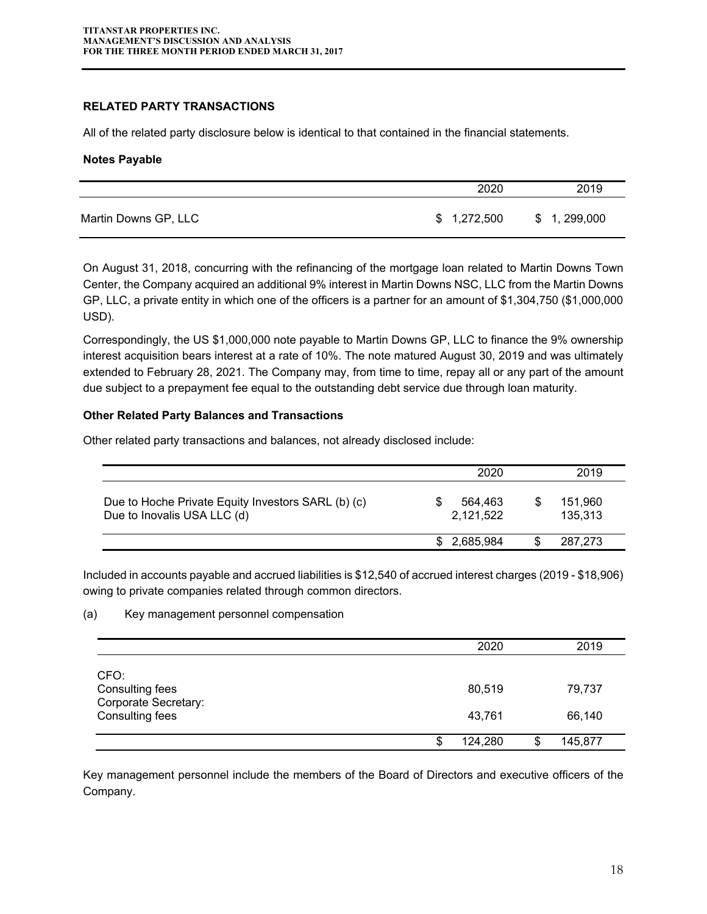#### **RELATED PARTY TRANSACTIONS**

All of the related party disclosure below is identical to that contained in the financial statements.

#### **Notes Payable**

|                      | 2020        | 2019        |
|----------------------|-------------|-------------|
| Martin Downs GP, LLC | \$1,272,500 | \$1,299,000 |

On August 31, 2018, concurring with the refinancing of the mortgage loan related to Martin Downs Town Center, the Company acquired an additional 9% interest in Martin Downs NSC, LLC from the Martin Downs GP, LLC, a private entity in which one of the officers is a partner for an amount of \$1,304,750 (\$1,000,000 USD).

Correspondingly, the US \$1,000,000 note payable to Martin Downs GP, LLC to finance the 9% ownership interest acquisition bears interest at a rate of 10%. The note matured August 30, 2019 and was ultimately extended to February 28, 2021. The Company may, from time to time, repay all or any part of the amount due subject to a prepayment fee equal to the outstanding debt service due through loan maturity.

#### **Other Related Party Balances and Transactions**

Other related party transactions and balances, not already disclosed include:

|                                                                                   |     | 2020                 |   | 2019               |
|-----------------------------------------------------------------------------------|-----|----------------------|---|--------------------|
| Due to Hoche Private Equity Investors SARL (b) (c)<br>Due to Inovalis USA LLC (d) |     | 564.463<br>2,121,522 | S | 151,960<br>135,313 |
|                                                                                   | \$. | 2,685,984            |   | 287.273            |

Included in accounts payable and accrued liabilities is \$12,540 of accrued interest charges (2019 - \$18,906) owing to private companies related through common directors.

#### (a) Key management personnel compensation

|                                                                           |   | 2020             |   | 2019             |
|---------------------------------------------------------------------------|---|------------------|---|------------------|
| CFO:<br>Consulting fees<br>Corporate Secretary:<br><b>Consulting fees</b> |   | 80,519<br>43,761 |   | 79,737<br>66,140 |
|                                                                           | S | 124,280          | S | 145,877          |

Key management personnel include the members of the Board of Directors and executive officers of the Company.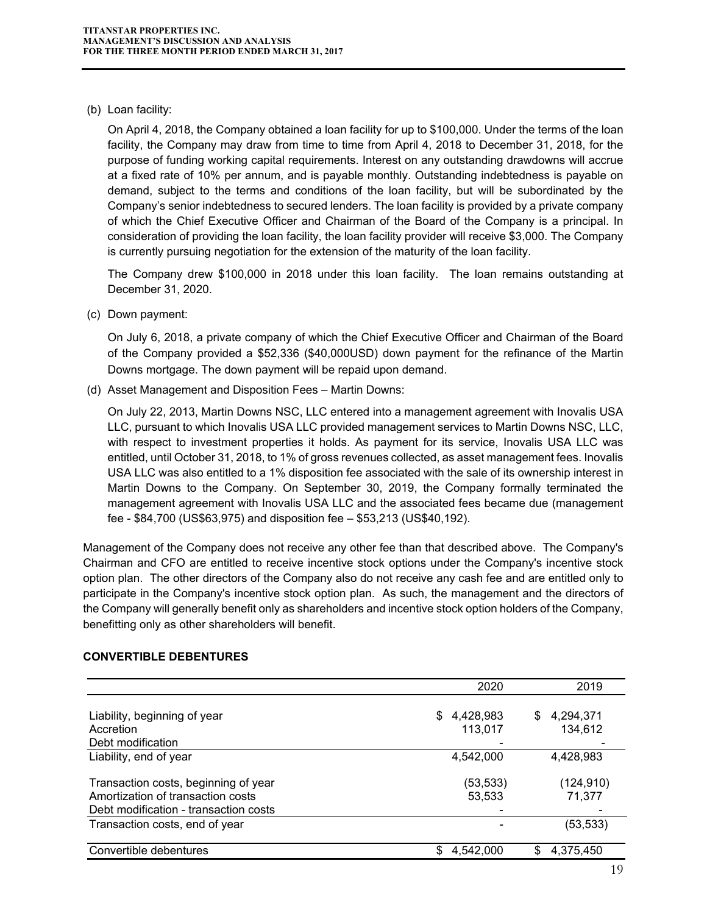(b) Loan facility:

On April 4, 2018, the Company obtained a loan facility for up to \$100,000. Under the terms of the loan facility, the Company may draw from time to time from April 4, 2018 to December 31, 2018, for the purpose of funding working capital requirements. Interest on any outstanding drawdowns will accrue at a fixed rate of 10% per annum, and is payable monthly. Outstanding indebtedness is payable on demand, subject to the terms and conditions of the loan facility, but will be subordinated by the Company's senior indebtedness to secured lenders. The loan facility is provided by a private company of which the Chief Executive Officer and Chairman of the Board of the Company is a principal. In consideration of providing the loan facility, the loan facility provider will receive \$3,000. The Company is currently pursuing negotiation for the extension of the maturity of the loan facility.

The Company drew \$100,000 in 2018 under this loan facility. The loan remains outstanding at December 31, 2020.

(c) Down payment:

On July 6, 2018, a private company of which the Chief Executive Officer and Chairman of the Board of the Company provided a \$52,336 (\$40,000USD) down payment for the refinance of the Martin Downs mortgage. The down payment will be repaid upon demand.

(d) Asset Management and Disposition Fees – Martin Downs:

On July 22, 2013, Martin Downs NSC, LLC entered into a management agreement with Inovalis USA LLC, pursuant to which Inovalis USA LLC provided management services to Martin Downs NSC, LLC, with respect to investment properties it holds. As payment for its service, Inovalis USA LLC was entitled, until October 31, 2018, to 1% of gross revenues collected, as asset management fees. Inovalis USA LLC was also entitled to a 1% disposition fee associated with the sale of its ownership interest in Martin Downs to the Company. On September 30, 2019, the Company formally terminated the management agreement with Inovalis USA LLC and the associated fees became due (management fee - \$84,700 (US\$63,975) and disposition fee – \$53,213 (US\$40,192).

Management of the Company does not receive any other fee than that described above. The Company's Chairman and CFO are entitled to receive incentive stock options under the Company's incentive stock option plan. The other directors of the Company also do not receive any cash fee and are entitled only to participate in the Company's incentive stock option plan. As such, the management and the directors of the Company will generally benefit only as shareholders and incentive stock option holders of the Company, benefitting only as other shareholders will benefit.

|                                                                                                                    | 2020                       | 2019                       |
|--------------------------------------------------------------------------------------------------------------------|----------------------------|----------------------------|
| Liability, beginning of year<br>Accretion<br>Debt modification                                                     | 4,428,983<br>\$<br>113,017 | 4,294,371<br>\$<br>134,612 |
| Liability, end of year                                                                                             | 4,542,000                  | 4,428,983                  |
| Transaction costs, beginning of year<br>Amortization of transaction costs<br>Debt modification - transaction costs | (53, 533)<br>53,533        | (124, 910)<br>71,377       |
| Transaction costs, end of year                                                                                     |                            | (53, 533)                  |
| Convertible debentures                                                                                             | 4,542,000                  | 4,375,450<br>S             |

#### **CONVERTIBLE DEBENTURES**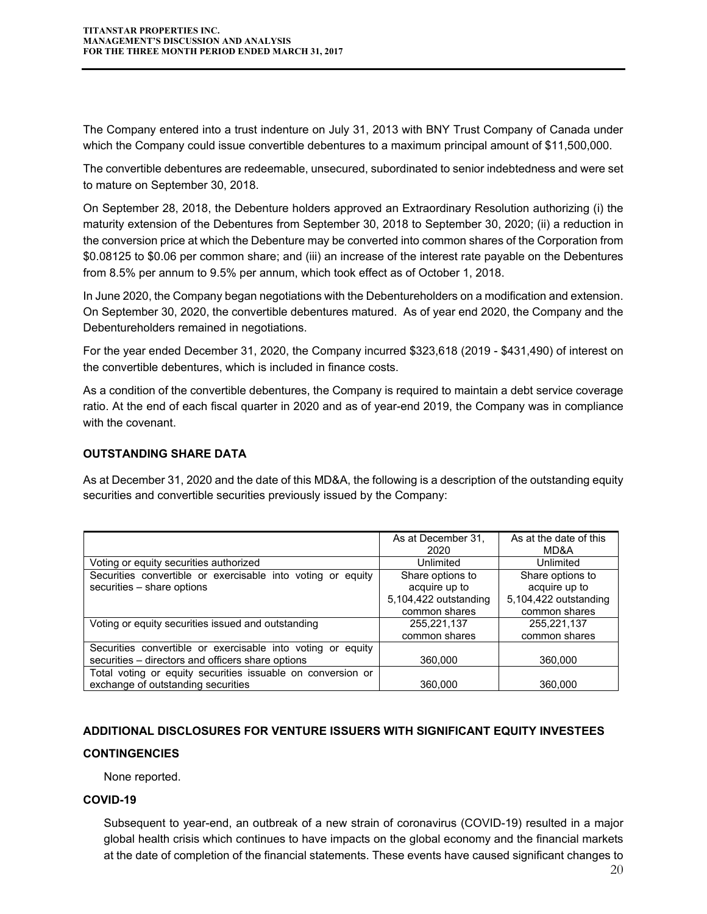The Company entered into a trust indenture on July 31, 2013 with BNY Trust Company of Canada under which the Company could issue convertible debentures to a maximum principal amount of \$11,500,000.

The convertible debentures are redeemable, unsecured, subordinated to senior indebtedness and were set to mature on September 30, 2018.

On September 28, 2018, the Debenture holders approved an Extraordinary Resolution authorizing (i) the maturity extension of the Debentures from September 30, 2018 to September 30, 2020; (ii) a reduction in the conversion price at which the Debenture may be converted into common shares of the Corporation from \$0.08125 to \$0.06 per common share; and (iii) an increase of the interest rate payable on the Debentures from 8.5% per annum to 9.5% per annum, which took effect as of October 1, 2018.

In June 2020, the Company began negotiations with the Debentureholders on a modification and extension. On September 30, 2020, the convertible debentures matured. As of year end 2020, the Company and the Debentureholders remained in negotiations.

For the year ended December 31, 2020, the Company incurred \$323,618 (2019 - \$431,490) of interest on the convertible debentures, which is included in finance costs.

As a condition of the convertible debentures, the Company is required to maintain a debt service coverage ratio. At the end of each fiscal quarter in 2020 and as of year-end 2019, the Company was in compliance with the covenant.

## **OUTSTANDING SHARE DATA**

As at December 31, 2020 and the date of this MD&A, the following is a description of the outstanding equity securities and convertible securities previously issued by the Company:

|                                                                                                                  | As at December 31,<br>2020             | As at the date of this<br>MD&A         |
|------------------------------------------------------------------------------------------------------------------|----------------------------------------|----------------------------------------|
| Voting or equity securities authorized                                                                           | Unlimited                              | Unlimited                              |
| Securities convertible or exercisable into voting or equity                                                      | Share options to                       | Share options to                       |
| securities - share options                                                                                       | acquire up to<br>5,104,422 outstanding | acquire up to<br>5,104,422 outstanding |
|                                                                                                                  | common shares                          | common shares                          |
| Voting or equity securities issued and outstanding                                                               | 255,221,137                            | 255,221,137                            |
|                                                                                                                  | common shares                          | common shares                          |
| Securities convertible or exercisable into voting or equity<br>securities - directors and officers share options | 360,000                                | 360,000                                |
| Total voting or equity securities issuable on conversion or                                                      |                                        |                                        |
| exchange of outstanding securities                                                                               | 360,000                                | 360,000                                |

## **ADDITIONAL DISCLOSURES FOR VENTURE ISSUERS WITH SIGNIFICANT EQUITY INVESTEES**

#### **CONTINGENCIES**

None reported.

#### **COVID-19**

Subsequent to year-end, an outbreak of a new strain of coronavirus (COVID-19) resulted in a major global health crisis which continues to have impacts on the global economy and the financial markets at the date of completion of the financial statements. These events have caused significant changes to